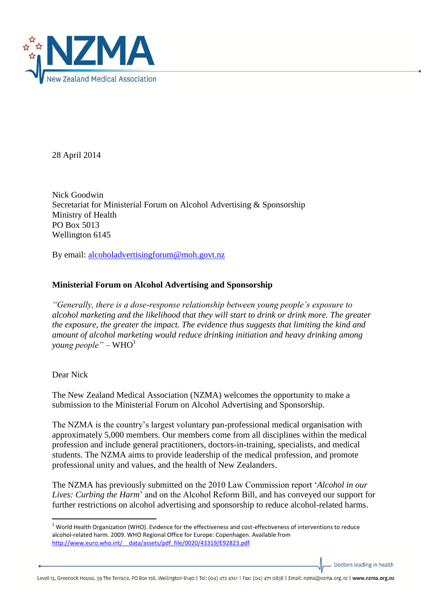

28 April 2014

Nick Goodwin Secretariat for Ministerial Forum on Alcohol Advertising & Sponsorship Ministry of Health PO Box 5013 Wellington 6145

By email: [alcoholadvertisingforum@moh.govt.nz](mailto:alcoholadvertisingforum@moh.govt.nz)

## **Ministerial Forum on Alcohol Advertising and Sponsorship**

*"Generally, there is a dose-response relationship between young people's exposure to alcohol marketing and the likelihood that they will start to drink or drink more. The greater the exposure, the greater the impact. The evidence thus suggests that limiting the kind and amount of alcohol marketing would reduce drinking initiation and heavy drinking among young people*" – WHO<sup>1</sup>

## Dear Nick

**.** 

The New Zealand Medical Association (NZMA) welcomes the opportunity to make a submission to the Ministerial Forum on Alcohol Advertising and Sponsorship.

The NZMA is the country's largest voluntary pan-professional medical organisation with approximately 5,000 members. Our members come from all disciplines within the medical profession and include general practitioners, doctors-in-training, specialists, and medical students. The NZMA aims to provide leadership of the medical profession, and promote professional unity and values, and the health of New Zealanders.

The NZMA has previously submitted on the 2010 Law Commission report '*Alcohol in our Lives: Curbing the Harm*' and on the Alcohol Reform Bill, and has conveyed our support for further restrictions on alcohol advertising and sponsorship to reduce alcohol-related harms.

Doctors leading in health

Level 13, Greenock House, 39 The Terrace, PO Box 156, Wellington 6140 | Tel: (04) 472 4741 | Fax: (04) 471 0838 | Email: nzma@nzma.org.nz | www.nzma.org.nz

 $1$  World Health Organization (WHO). Evidence for the effectiveness and cost-effectiveness of interventions to reduce alcohol-related harm. 2009. WHO Regional Office for Europe: Copenhagen. Available from [http://www.euro.who.int/\\_\\_data/assets/pdf\\_file/0020/43319/E92823.pdf](http://www.euro.who.int/__data/assets/pdf_file/0020/43319/E92823.pdf)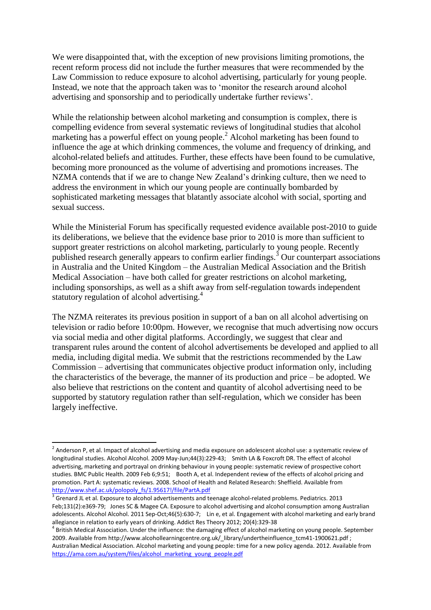We were disappointed that, with the exception of new provisions limiting promotions, the recent reform process did not include the further measures that were recommended by the Law Commission to reduce exposure to alcohol advertising, particularly for young people. Instead, we note that the approach taken was to 'monitor the research around alcohol advertising and sponsorship and to periodically undertake further reviews'.

While the relationship between alcohol marketing and consumption is complex, there is compelling evidence from several systematic reviews of longitudinal studies that alcohol marketing has a powerful effect on young people. <sup>2</sup> Alcohol marketing has been found to influence the age at which drinking commences, the volume and frequency of drinking, and alcohol-related beliefs and attitudes. Further, these effects have been found to be cumulative, becoming more pronounced as the volume of advertising and promotions increases. The NZMA contends that if we are to change New Zealand's drinking culture, then we need to address the environment in which our young people are continually bombarded by sophisticated marketing messages that blatantly associate alcohol with social, sporting and sexual success.

While the Ministerial Forum has specifically requested evidence available post-2010 to guide its deliberations, we believe that the evidence base prior to 2010 is more than sufficient to support greater restrictions on alcohol marketing, particularly to young people. Recently published research generally appears to confirm earlier findings.<sup>3</sup> Our counterpart associations in Australia and the United Kingdom – the Australian Medical Association and the British Medical Association – have both called for greater restrictions on alcohol marketing, including sponsorships, as well as a shift away from self-regulation towards independent statutory regulation of alcohol advertising.<sup>4</sup>

The NZMA reiterates its previous position in support of a ban on all alcohol advertising on television or radio before 10:00pm. However, we recognise that much advertising now occurs via social media and other digital platforms. Accordingly, we suggest that clear and transparent rules around the content of alcohol advertisements be developed and applied to all media, including digital media. We submit that the restrictions recommended by the Law Commission – advertising that communicates objective product information only, including the characteristics of the beverage, the manner of its production and price – be adopted. We also believe that restrictions on the content and quantity of alcohol advertising need to be supported by statutory regulation rather than self-regulation, which we consider has been largely ineffective.

**.** 

 $^2$  Anderson P, et al. Impact of alcohol advertising and media exposure on adolescent alcohol use: a systematic review of longitudinal studies. Alcohol Alcohol. 2009 May-Jun;44(3):229-43; Smith LA & Foxcroft DR. The effect of alcohol advertising, marketing and portrayal on drinking behaviour in young people: systematic review of prospective cohort studies. BMC Public Health. 2009 Feb 6;9:51; Booth A, et al. Independent review of the effects of alcohol pricing and promotion. Part A: systematic reviews. 2008. School of Health and Related Research: Sheffield. Available from [http://www.shef.ac.uk/polopoly\\_fs/1.95617!/file/PartA.pdf](http://www.shef.ac.uk/polopoly_fs/1.95617!/file/PartA.pdf)

 $3$  Grenard JL et al. Exposure to alcohol advertisements and teenage alcohol-related problems. Pediatrics. 2013 Feb;131(2):e369-79; Jones SC & Magee CA. Exposure to alcohol advertising and alcohol consumption among Australian adolescents. Alcohol Alcohol. 2011 Sep-Oct;46(5):630-7; Lin e, et al. Engagement with alcohol marketing and early brand allegiance in relation to early years of drinking. Addict Res Theory 2012; 20(4):329-38

<sup>&</sup>lt;sup>4</sup> British Medical Association. Under the influence: the damaging effect of alcohol marketing on young people. September 2009. Available from http://www.alcohollearningcentre.org.uk/ library/undertheinfluence\_tcm41-1900621.pdf ; Australian Medical Association. Alcohol marketing and young people: time for a new policy agenda. 2012. Available from [https://ama.com.au/system/files/alcohol\\_marketing\\_young\\_people.pdf](https://ama.com.au/system/files/alcohol_marketing_young_people.pdf)